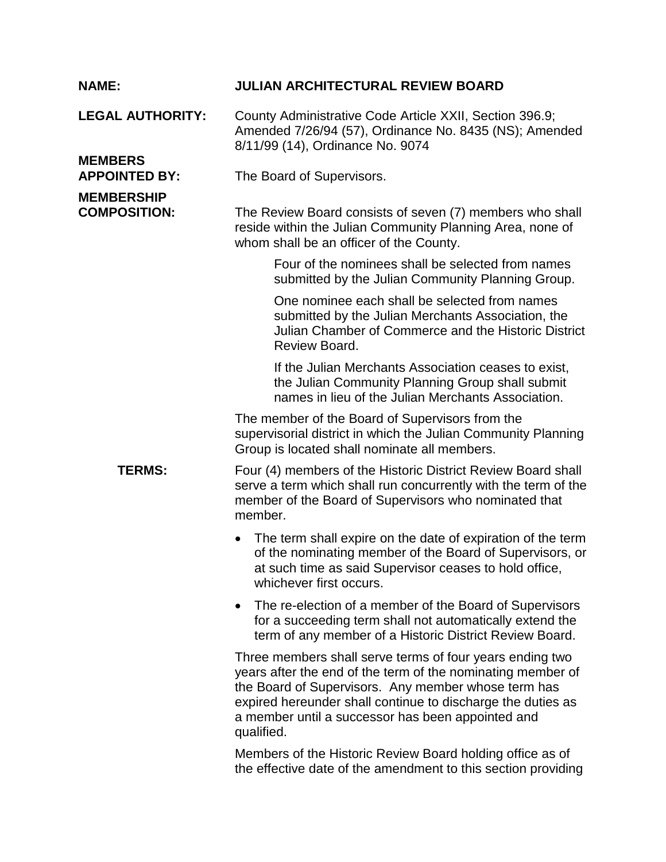| <b>NAME:</b>                             | <b>JULIAN ARCHITECTURAL REVIEW BOARD</b>                                                                                                                                                                                                                                                                         |
|------------------------------------------|------------------------------------------------------------------------------------------------------------------------------------------------------------------------------------------------------------------------------------------------------------------------------------------------------------------|
| <b>LEGAL AUTHORITY:</b>                  | County Administrative Code Article XXII, Section 396.9;<br>Amended 7/26/94 (57), Ordinance No. 8435 (NS); Amended<br>8/11/99 (14), Ordinance No. 9074                                                                                                                                                            |
| <b>MEMBERS</b><br><b>APPOINTED BY:</b>   | The Board of Supervisors.                                                                                                                                                                                                                                                                                        |
| <b>MEMBERSHIP</b><br><b>COMPOSITION:</b> | The Review Board consists of seven (7) members who shall<br>reside within the Julian Community Planning Area, none of<br>whom shall be an officer of the County.                                                                                                                                                 |
|                                          | Four of the nominees shall be selected from names<br>submitted by the Julian Community Planning Group.                                                                                                                                                                                                           |
|                                          | One nominee each shall be selected from names<br>submitted by the Julian Merchants Association, the<br>Julian Chamber of Commerce and the Historic District<br>Review Board.                                                                                                                                     |
|                                          | If the Julian Merchants Association ceases to exist,<br>the Julian Community Planning Group shall submit<br>names in lieu of the Julian Merchants Association.                                                                                                                                                   |
|                                          | The member of the Board of Supervisors from the<br>supervisorial district in which the Julian Community Planning<br>Group is located shall nominate all members.                                                                                                                                                 |
| <b>TERMS:</b>                            | Four (4) members of the Historic District Review Board shall<br>serve a term which shall run concurrently with the term of the<br>member of the Board of Supervisors who nominated that<br>member.                                                                                                               |
|                                          | The term shall expire on the date of expiration of the term<br>of the nominating member of the Board of Supervisors, or<br>at such time as said Supervisor ceases to hold office,<br>whichever first occurs.                                                                                                     |
|                                          | The re-election of a member of the Board of Supervisors<br>$\bullet$<br>for a succeeding term shall not automatically extend the<br>term of any member of a Historic District Review Board.                                                                                                                      |
|                                          | Three members shall serve terms of four years ending two<br>years after the end of the term of the nominating member of<br>the Board of Supervisors. Any member whose term has<br>expired hereunder shall continue to discharge the duties as<br>a member until a successor has been appointed and<br>qualified. |
|                                          | Members of the Historic Review Board holding office as of<br>the effective date of the amendment to this section providing                                                                                                                                                                                       |